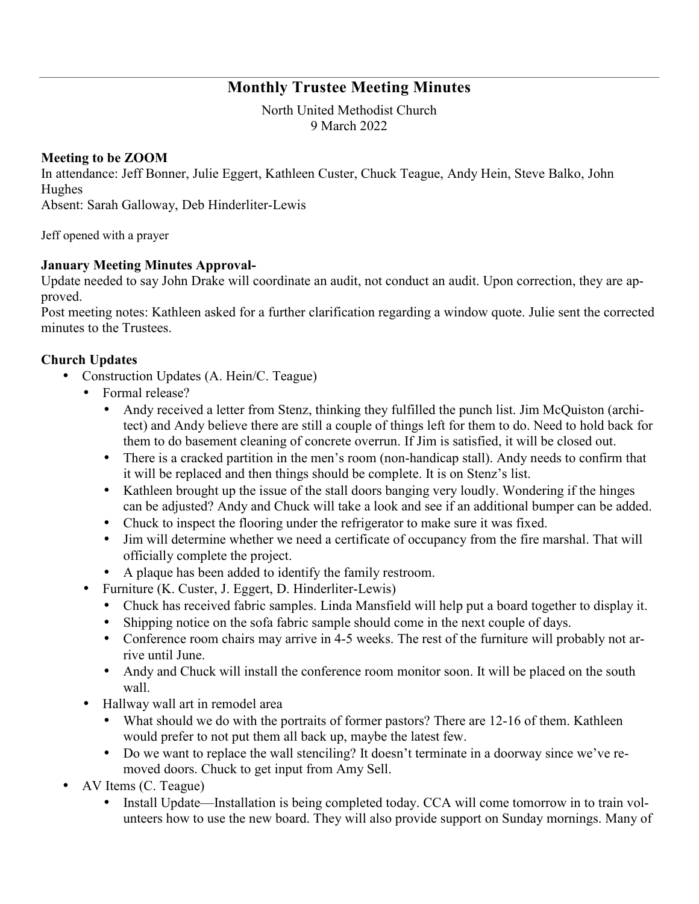# **Monthly Trustee Meeting Minutes**

North United Methodist Church 9 March 2022

#### **Meeting to be ZOOM**

In attendance: Jeff Bonner, Julie Eggert, Kathleen Custer, Chuck Teague, Andy Hein, Steve Balko, John Hughes

Absent: Sarah Galloway, Deb Hinderliter-Lewis

Jeff opened with a prayer

### **January Meeting Minutes Approval-**

Update needed to say John Drake will coordinate an audit, not conduct an audit. Upon correction, they are approved.

Post meeting notes: Kathleen asked for a further clarification regarding a window quote. Julie sent the corrected minutes to the Trustees.

#### **Church Updates**

- Construction Updates (A. Hein/C. Teague)
	- Formal release?
		- Andy received a letter from Stenz, thinking they fulfilled the punch list. Jim McQuiston (architect) and Andy believe there are still a couple of things left for them to do. Need to hold back for them to do basement cleaning of concrete overrun. If Jim is satisfied, it will be closed out.
		- There is a cracked partition in the men's room (non-handicap stall). Andy needs to confirm that it will be replaced and then things should be complete. It is on Stenz's list.
		- Kathleen brought up the issue of the stall doors banging very loudly. Wondering if the hinges can be adjusted? Andy and Chuck will take a look and see if an additional bumper can be added.
		- Chuck to inspect the flooring under the refrigerator to make sure it was fixed.
		- Jim will determine whether we need a certificate of occupancy from the fire marshal. That will officially complete the project.
		- A plaque has been added to identify the family restroom.
	- Furniture (K. Custer, J. Eggert, D. Hinderliter-Lewis)
		- Chuck has received fabric samples. Linda Mansfield will help put a board together to display it.
		- Shipping notice on the sofa fabric sample should come in the next couple of days.
		- Conference room chairs may arrive in 4-5 weeks. The rest of the furniture will probably not arrive until June.
		- Andy and Chuck will install the conference room monitor soon. It will be placed on the south wall.
	- Hallway wall art in remodel area
		- What should we do with the portraits of former pastors? There are 12-16 of them. Kathleen would prefer to not put them all back up, maybe the latest few.
		- Do we want to replace the wall stenciling? It doesn't terminate in a doorway since we've removed doors. Chuck to get input from Amy Sell.
- AV Items (C. Teague)
	- Install Update—Installation is being completed today. CCA will come tomorrow in to train volunteers how to use the new board. They will also provide support on Sunday mornings. Many of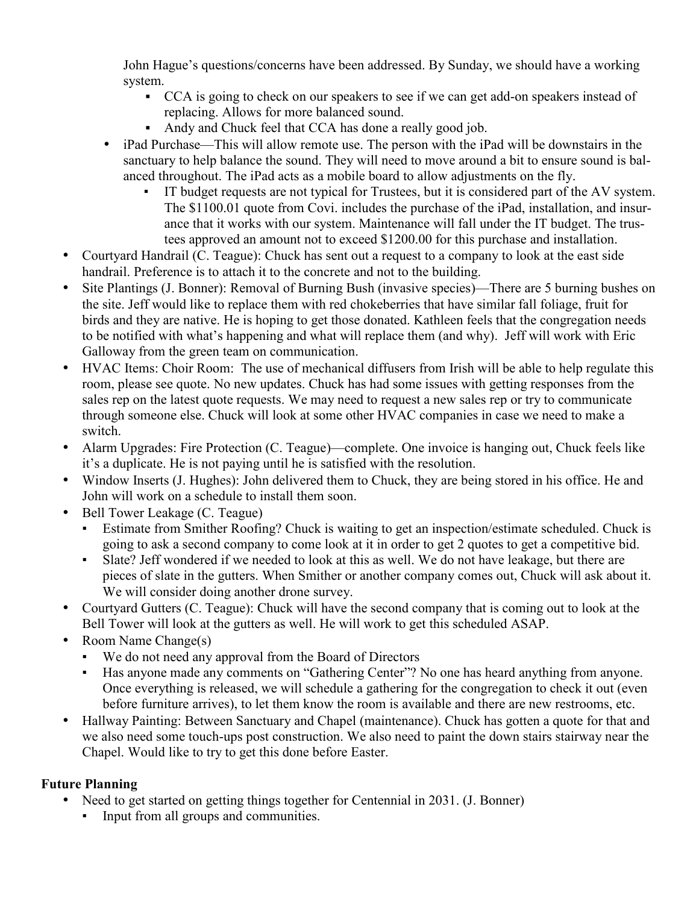John Hague's questions/concerns have been addressed. By Sunday, we should have a working system.

- CCA is going to check on our speakers to see if we can get add-on speakers instead of replacing. Allows for more balanced sound.
- Andy and Chuck feel that CCA has done a really good job.
- iPad Purchase—This will allow remote use. The person with the iPad will be downstairs in the sanctuary to help balance the sound. They will need to move around a bit to ensure sound is balanced throughout. The iPad acts as a mobile board to allow adjustments on the fly.
	- IT budget requests are not typical for Trustees, but it is considered part of the AV system. The \$1100.01 quote from Covi. includes the purchase of the iPad, installation, and insurance that it works with our system. Maintenance will fall under the IT budget. The trustees approved an amount not to exceed \$1200.00 for this purchase and installation.
- Courtyard Handrail (C. Teague): Chuck has sent out a request to a company to look at the east side handrail. Preference is to attach it to the concrete and not to the building.
- Site Plantings (J. Bonner): Removal of Burning Bush (invasive species)—There are 5 burning bushes on the site. Jeff would like to replace them with red chokeberries that have similar fall foliage, fruit for birds and they are native. He is hoping to get those donated. Kathleen feels that the congregation needs to be notified with what's happening and what will replace them (and why). Jeff will work with Eric Galloway from the green team on communication.
- HVAC Items: Choir Room: The use of mechanical diffusers from Irish will be able to help regulate this room, please see quote. No new updates. Chuck has had some issues with getting responses from the sales rep on the latest quote requests. We may need to request a new sales rep or try to communicate through someone else. Chuck will look at some other HVAC companies in case we need to make a switch.
- Alarm Upgrades: Fire Protection (C. Teague)—complete. One invoice is hanging out, Chuck feels like it's a duplicate. He is not paying until he is satisfied with the resolution.
- Window Inserts (J. Hughes): John delivered them to Chuck, they are being stored in his office. He and John will work on a schedule to install them soon.
- Bell Tower Leakage (C. Teague)
	- Estimate from Smither Roofing? Chuck is waiting to get an inspection/estimate scheduled. Chuck is going to ask a second company to come look at it in order to get 2 quotes to get a competitive bid.
	- Slate? Jeff wondered if we needed to look at this as well. We do not have leakage, but there are pieces of slate in the gutters. When Smither or another company comes out, Chuck will ask about it. We will consider doing another drone survey.
- Courtyard Gutters (C. Teague): Chuck will have the second company that is coming out to look at the Bell Tower will look at the gutters as well. He will work to get this scheduled ASAP.
- Room Name Change(s)
	- We do not need any approval from the Board of Directors
	- Has anyone made any comments on "Gathering Center"? No one has heard anything from anyone. Once everything is released, we will schedule a gathering for the congregation to check it out (even before furniture arrives), to let them know the room is available and there are new restrooms, etc.
- Hallway Painting: Between Sanctuary and Chapel (maintenance). Chuck has gotten a quote for that and we also need some touch-ups post construction. We also need to paint the down stairs stairway near the Chapel. Would like to try to get this done before Easter.

## **Future Planning**

- Need to get started on getting things together for Centennial in 2031. (J. Bonner)
	- **•** Input from all groups and communities.